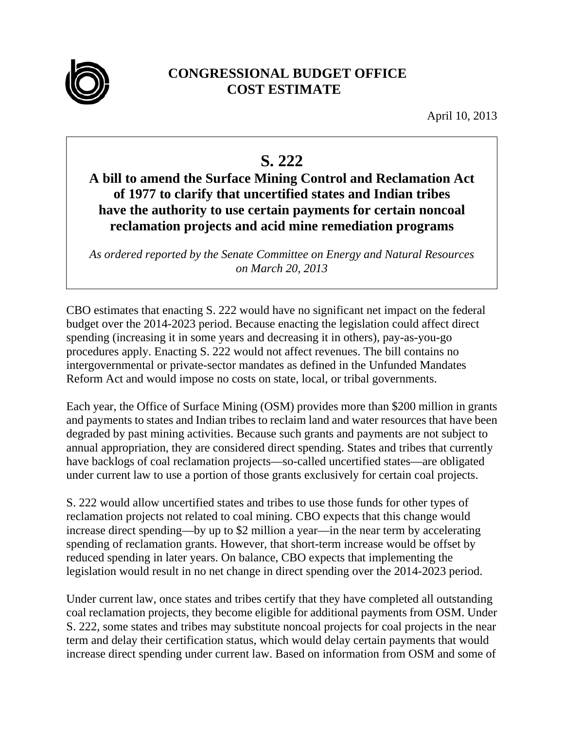

## **CONGRESSIONAL BUDGET OFFICE COST ESTIMATE**

April 10, 2013

## **S. 222**

## **A bill to amend the Surface Mining Control and Reclamation Act of 1977 to clarify that uncertified states and Indian tribes have the authority to use certain payments for certain noncoal reclamation projects and acid mine remediation programs**

*As ordered reported by the Senate Committee on Energy and Natural Resources on March 20, 2013* 

CBO estimates that enacting S. 222 would have no significant net impact on the federal budget over the 2014-2023 period. Because enacting the legislation could affect direct spending (increasing it in some years and decreasing it in others), pay-as-you-go procedures apply. Enacting S. 222 would not affect revenues. The bill contains no intergovernmental or private-sector mandates as defined in the Unfunded Mandates Reform Act and would impose no costs on state, local, or tribal governments.

Each year, the Office of Surface Mining (OSM) provides more than \$200 million in grants and payments to states and Indian tribes to reclaim land and water resources that have been degraded by past mining activities. Because such grants and payments are not subject to annual appropriation, they are considered direct spending. States and tribes that currently have backlogs of coal reclamation projects—so-called uncertified states—are obligated under current law to use a portion of those grants exclusively for certain coal projects.

S. 222 would allow uncertified states and tribes to use those funds for other types of reclamation projects not related to coal mining. CBO expects that this change would increase direct spending—by up to \$2 million a year—in the near term by accelerating spending of reclamation grants. However, that short-term increase would be offset by reduced spending in later years. On balance, CBO expects that implementing the legislation would result in no net change in direct spending over the 2014-2023 period.

Under current law, once states and tribes certify that they have completed all outstanding coal reclamation projects, they become eligible for additional payments from OSM. Under S. 222, some states and tribes may substitute noncoal projects for coal projects in the near term and delay their certification status, which would delay certain payments that would increase direct spending under current law. Based on information from OSM and some of